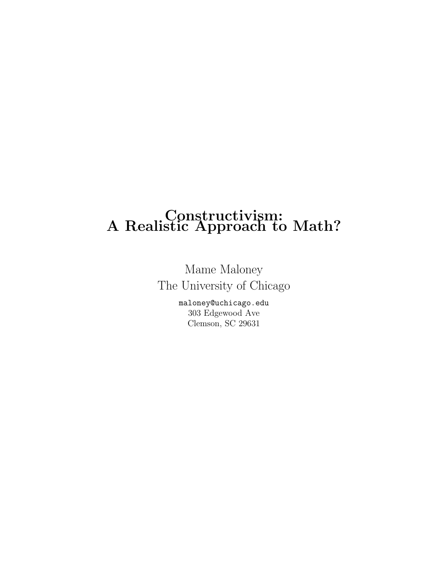## Constructivism: A Realistic Approach to Math?

Mame Maloney The University of Chicago

> maloney@uchicago.edu 303 Edgewood Ave Clemson, SC 29631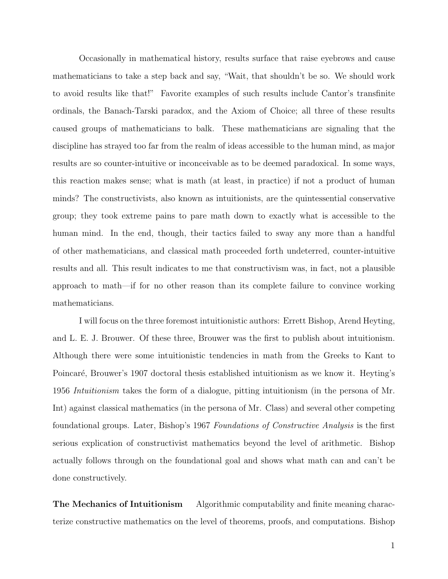Occasionally in mathematical history, results surface that raise eyebrows and cause mathematicians to take a step back and say, "Wait, that shouldn't be so. We should work to avoid results like that!" Favorite examples of such results include Cantor's transfinite ordinals, the Banach-Tarski paradox, and the Axiom of Choice; all three of these results caused groups of mathematicians to balk. These mathematicians are signaling that the discipline has strayed too far from the realm of ideas accessible to the human mind, as major results are so counter-intuitive or inconceivable as to be deemed paradoxical. In some ways, this reaction makes sense; what is math (at least, in practice) if not a product of human minds? The constructivists, also known as intuitionists, are the quintessential conservative group; they took extreme pains to pare math down to exactly what is accessible to the human mind. In the end, though, their tactics failed to sway any more than a handful of other mathematicians, and classical math proceeded forth undeterred, counter-intuitive results and all. This result indicates to me that constructivism was, in fact, not a plausible approach to math—if for no other reason than its complete failure to convince working mathematicians.

I will focus on the three foremost intuitionistic authors: Errett Bishop, Arend Heyting, and L. E. J. Brouwer. Of these three, Brouwer was the first to publish about intuitionism. Although there were some intuitionistic tendencies in math from the Greeks to Kant to Poincaré, Brouwer's 1907 doctoral thesis established intuitionism as we know it. Heyting's 1956 Intuitionism takes the form of a dialogue, pitting intuitionism (in the persona of Mr. Int) against classical mathematics (in the persona of Mr. Class) and several other competing foundational groups. Later, Bishop's 1967 Foundations of Constructive Analysis is the first serious explication of constructivist mathematics beyond the level of arithmetic. Bishop actually follows through on the foundational goal and shows what math can and can't be done constructively.

The Mechanics of Intuitionism Algorithmic computability and finite meaning characterize constructive mathematics on the level of theorems, proofs, and computations. Bishop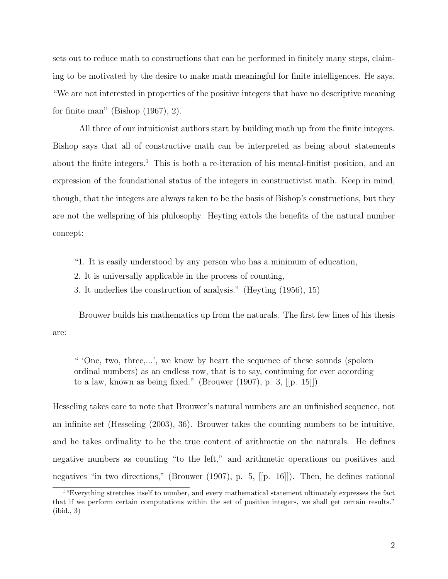sets out to reduce math to constructions that can be performed in finitely many steps, claiming to be motivated by the desire to make math meaningful for finite intelligences. He says, "We are not interested in properties of the positive integers that have no descriptive meaning for finite man" (Bishop (1967), 2).

All three of our intuitionist authors start by building math up from the finite integers. Bishop says that all of constructive math can be interpreted as being about statements about the finite integers.<sup>1</sup> This is both a re-iteration of his mental-finitist position, and an expression of the foundational status of the integers in constructivist math. Keep in mind, though, that the integers are always taken to be the basis of Bishop's constructions, but they are not the wellspring of his philosophy. Heyting extols the benefits of the natural number concept:

- "1. It is easily understood by any person who has a minimum of education,
- 2. It is universally applicable in the process of counting,
- 3. It underlies the construction of analysis." (Heyting (1956), 15)

Brouwer builds his mathematics up from the naturals. The first few lines of his thesis are:

" 'One, two, three,...', we know by heart the sequence of these sounds (spoken ordinal numbers) as an endless row, that is to say, continuing for ever according to a law, known as being fixed." (Brouwer (1907), p. 3, [[p. 15]])

Hesseling takes care to note that Brouwer's natural numbers are an unfinished sequence, not an infinite set (Hesseling (2003), 36). Brouwer takes the counting numbers to be intuitive, and he takes ordinality to be the true content of arithmetic on the naturals. He defines negative numbers as counting "to the left," and arithmetic operations on positives and negatives "in two directions," (Brouwer (1907), p. 5, [[p. 16]]). Then, he defines rational

<sup>1</sup>"Everything stretches itself to number, and every mathematical statement ultimately expresses the fact that if we perform certain computations within the set of positive integers, we shall get certain results." (ibid., 3)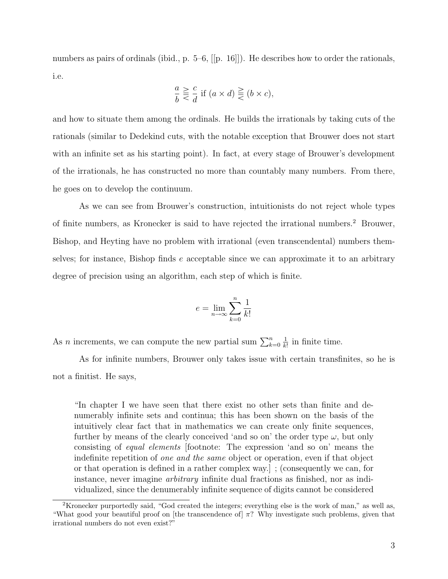numbers as pairs of ordinals (ibid., p. 5–6, [[p. 16]]). He describes how to order the rationals, i.e.

$$
\frac{a}{b} \gtreqqless \frac{c}{d} \text{ if } (a \times d) \gtreqqless (b \times c),
$$

and how to situate them among the ordinals. He builds the irrationals by taking cuts of the rationals (similar to Dedekind cuts, with the notable exception that Brouwer does not start with an infinite set as his starting point). In fact, at every stage of Brouwer's development of the irrationals, he has constructed no more than countably many numbers. From there, he goes on to develop the continuum.

As we can see from Brouwer's construction, intuitionists do not reject whole types of finite numbers, as Kronecker is said to have rejected the irrational numbers.<sup>2</sup> Brouwer, Bishop, and Heyting have no problem with irrational (even transcendental) numbers themselves; for instance, Bishop finds e acceptable since we can approximate it to an arbitrary degree of precision using an algorithm, each step of which is finite.

$$
e = \lim_{n \to \infty} \sum_{k=0}^{n} \frac{1}{k!}
$$

As *n* increments, we can compute the new partial sum  $\sum_{k=0}^{n}$ 1  $\frac{1}{k!}$  in finite time.

As for infinite numbers, Brouwer only takes issue with certain transfinites, so he is not a finitist. He says,

"In chapter I we have seen that there exist no other sets than finite and denumerably infinite sets and continua; this has been shown on the basis of the intuitively clear fact that in mathematics we can create only finite sequences, further by means of the clearly conceived 'and so on' the order type  $\omega$ , but only consisting of equal elements [footnote: The expression 'and so on' means the indefinite repetition of one and the same object or operation, even if that object or that operation is defined in a rather complex way.] ; (consequently we can, for instance, never imagine arbitrary infinite dual fractions as finished, nor as individualized, since the denumerably infinite sequence of digits cannot be considered

<sup>2</sup>Kronecker purportedly said, "God created the integers; everything else is the work of man," as well as, "What good your beautiful proof on [the transcendence of]  $\pi$ ? Why investigate such problems, given that irrational numbers do not even exist?"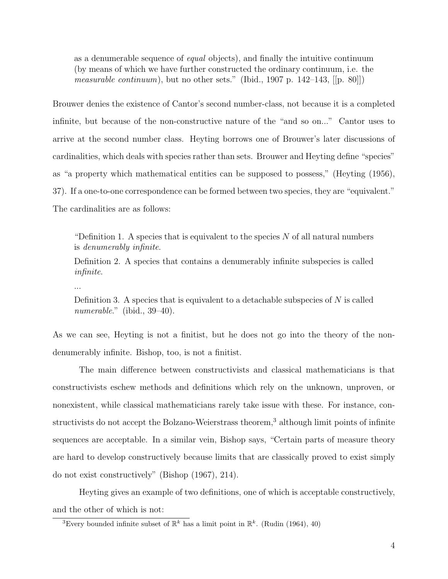as a denumerable sequence of equal objects), and finally the intuitive continuum (by means of which we have further constructed the ordinary continuum, i.e. the *measurable continuum*), but no other sets." (Ibid., 1907 p. 142–143,  $[[p. 80]]$ )

Brouwer denies the existence of Cantor's second number-class, not because it is a completed infinite, but because of the non-constructive nature of the "and so on..." Cantor uses to arrive at the second number class. Heyting borrows one of Brouwer's later discussions of cardinalities, which deals with species rather than sets. Brouwer and Heyting define "species" as "a property which mathematical entities can be supposed to possess," (Heyting (1956), 37). If a one-to-one correspondence can be formed between two species, they are "equivalent." The cardinalities are as follows:

"Definition 1. A species that is equivalent to the species  $N$  of all natural numbers is denumerably infinite.

Definition 2. A species that contains a denumerably infinite subspecies is called infinite.

...

Definition 3. A species that is equivalent to a detachable subspecies of  $N$  is called numerable." (ibid.,  $39-40$ ).

As we can see, Heyting is not a finitist, but he does not go into the theory of the nondenumerably infinite. Bishop, too, is not a finitist.

The main difference between constructivists and classical mathematicians is that constructivists eschew methods and definitions which rely on the unknown, unproven, or nonexistent, while classical mathematicians rarely take issue with these. For instance, constructivists do not accept the Bolzano-Weierstrass theorem,<sup>3</sup> although limit points of infinite sequences are acceptable. In a similar vein, Bishop says, "Certain parts of measure theory are hard to develop constructively because limits that are classically proved to exist simply do not exist constructively" (Bishop (1967), 214).

Heyting gives an example of two definitions, one of which is acceptable constructively, and the other of which is not:

<sup>&</sup>lt;sup>3</sup>Every bounded infinite subset of  $\mathbb{R}^k$  has a limit point in  $\mathbb{R}^k$ . (Rudin (1964), 40)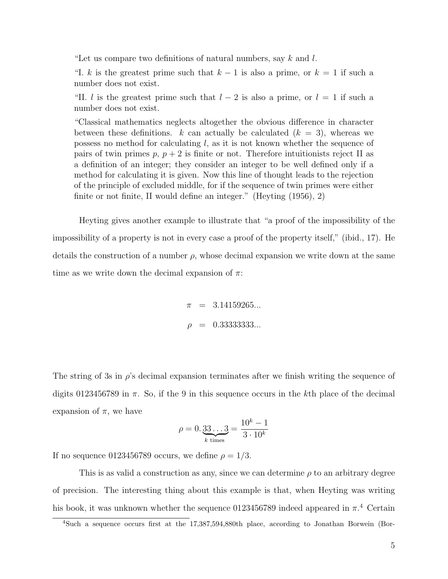"Let us compare two definitions of natural numbers, say  $k$  and  $l$ .

"I. k is the greatest prime such that  $k - 1$  is also a prime, or  $k = 1$  if such a number does not exist.

"II. l is the greatest prime such that  $l - 2$  is also a prime, or  $l = 1$  if such a number does not exist.

"Classical mathematics neglects altogether the obvious difference in character between these definitions. k can actually be calculated  $(k = 3)$ , whereas we possess no method for calculating  $l$ , as it is not known whether the sequence of pairs of twin primes  $p, p+2$  is finite or not. Therefore intuitionists reject II as a definition of an integer; they consider an integer to be well defined only if a method for calculating it is given. Now this line of thought leads to the rejection of the principle of excluded middle, for if the sequence of twin primes were either finite or not finite, II would define an integer." (Heyting (1956), 2)

Heyting gives another example to illustrate that "a proof of the impossibility of the impossibility of a property is not in every case a proof of the property itself," (ibid., 17). He details the construction of a number  $\rho$ , whose decimal expansion we write down at the same time as we write down the decimal expansion of  $\pi$ :

> $\pi$  = 3.14159265...  $\rho = 0.333333333...$

The string of 3s in  $\rho$ 's decimal expansion terminates after we finish writing the sequence of digits 0123456789 in  $\pi$ . So, if the 9 in this sequence occurs in the kth place of the decimal expansion of  $\pi$ , we have

$$
\rho = 0.\underbrace{33\ldots 3}_{k \text{ times}} = \frac{10^k - 1}{3 \cdot 10^k}
$$

If no sequence 0123456789 occurs, we define  $\rho = 1/3$ .

This is as valid a construction as any, since we can determine  $\rho$  to an arbitrary degree of precision. The interesting thing about this example is that, when Heyting was writing his book, it was unknown whether the sequence 0123456789 indeed appeared in  $\pi$ .<sup>4</sup> Certain

<sup>4</sup>Such a sequence occurs first at the 17,387,594,880th place, according to Jonathan Borwein (Bor-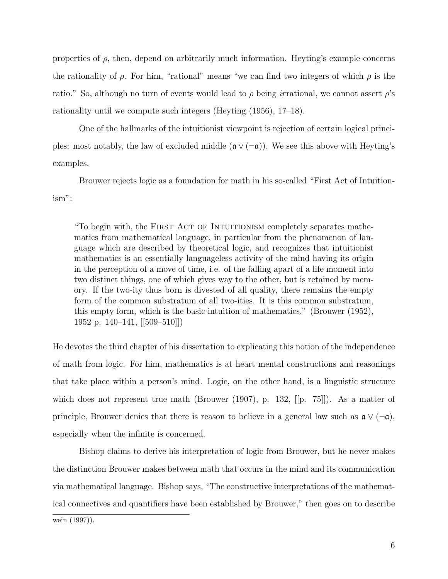properties of  $\rho$ , then, depend on arbitrarily much information. Heyting's example concerns the rationality of  $\rho$ . For him, "rational" means "we can find two integers of which  $\rho$  is the ratio." So, although no turn of events would lead to  $\rho$  being irrational, we cannot assert  $\rho$ 's rationality until we compute such integers (Heyting (1956), 17–18).

One of the hallmarks of the intuitionist viewpoint is rejection of certain logical principles: most notably, the law of excluded middle  $(\mathfrak{a} \vee (\neg \mathfrak{a}))$ . We see this above with Heyting's examples.

Brouwer rejects logic as a foundation for math in his so-called "First Act of Intuitionism":

"To begin with, the FIRST ACT OF INTUITIONISM completely separates mathematics from mathematical language, in particular from the phenomenon of language which are described by theoretical logic, and recognizes that intuitionist mathematics is an essentially languageless activity of the mind having its origin in the perception of a move of time, i.e. of the falling apart of a life moment into two distinct things, one of which gives way to the other, but is retained by memory. If the two-ity thus born is divested of all quality, there remains the empty form of the common substratum of all two-ities. It is this common substratum, this empty form, which is the basic intuition of mathematics." (Brouwer (1952), 1952 p. 140–141, [[509–510]])

He devotes the third chapter of his dissertation to explicating this notion of the independence of math from logic. For him, mathematics is at heart mental constructions and reasonings that take place within a person's mind. Logic, on the other hand, is a linguistic structure which does not represent true math (Brouwer (1907), p. 132, [[p. 75]]). As a matter of principle, Brouwer denies that there is reason to believe in a general law such as  $a \vee (\neg a)$ , especially when the infinite is concerned.

Bishop claims to derive his interpretation of logic from Brouwer, but he never makes the distinction Brouwer makes between math that occurs in the mind and its communication via mathematical language. Bishop says, "The constructive interpretations of the mathematical connectives and quantifiers have been established by Brouwer," then goes on to describe wein (1997)).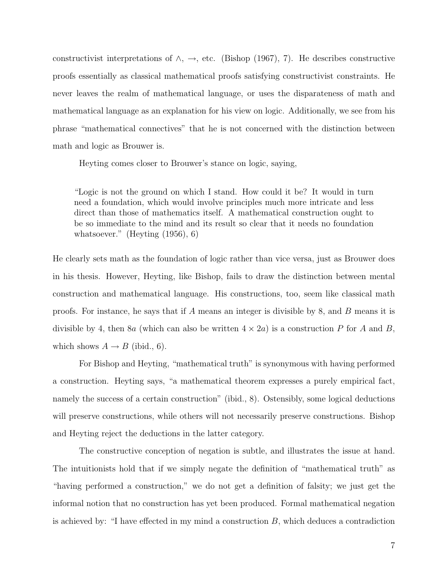constructivist interpretations of  $\land$ ,  $\rightarrow$ , etc. (Bishop (1967), 7). He describes constructive proofs essentially as classical mathematical proofs satisfying constructivist constraints. He never leaves the realm of mathematical language, or uses the disparateness of math and mathematical language as an explanation for his view on logic. Additionally, we see from his phrase "mathematical connectives" that he is not concerned with the distinction between math and logic as Brouwer is.

Heyting comes closer to Brouwer's stance on logic, saying,

"Logic is not the ground on which I stand. How could it be? It would in turn need a foundation, which would involve principles much more intricate and less direct than those of mathematics itself. A mathematical construction ought to be so immediate to the mind and its result so clear that it needs no foundation whatsoever." (Heyting (1956), 6)

He clearly sets math as the foundation of logic rather than vice versa, just as Brouwer does in his thesis. However, Heyting, like Bishop, fails to draw the distinction between mental construction and mathematical language. His constructions, too, seem like classical math proofs. For instance, he says that if A means an integer is divisible by 8, and B means it is divisible by 4, then 8a (which can also be written  $4 \times 2a$ ) is a construction P for A and B, which shows  $A \rightarrow B$  (ibid., 6).

For Bishop and Heyting, "mathematical truth" is synonymous with having performed a construction. Heyting says, "a mathematical theorem expresses a purely empirical fact, namely the success of a certain construction" (ibid., 8). Ostensibly, some logical deductions will preserve constructions, while others will not necessarily preserve constructions. Bishop and Heyting reject the deductions in the latter category.

The constructive conception of negation is subtle, and illustrates the issue at hand. The intuitionists hold that if we simply negate the definition of "mathematical truth" as "having performed a construction," we do not get a definition of falsity; we just get the informal notion that no construction has yet been produced. Formal mathematical negation is achieved by: "I have effected in my mind a construction  $B$ , which deduces a contradiction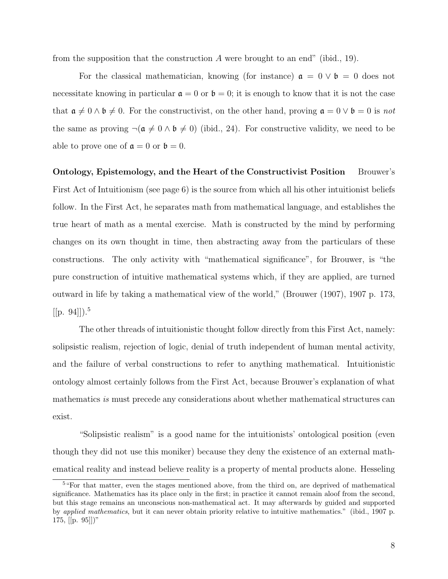from the supposition that the construction  $A$  were brought to an end" (ibid., 19).

For the classical mathematician, knowing (for instance)  $a = 0 \vee b = 0$  does not necessitate knowing in particular  $a = 0$  or  $b = 0$ ; it is enough to know that it is not the case that  $\mathfrak{a} \neq 0 \land \mathfrak{b} \neq 0$ . For the constructivist, on the other hand, proving  $\mathfrak{a} = 0 \lor \mathfrak{b} = 0$  is not the same as proving  $\neg(\mathfrak{a} \neq 0 \land \mathfrak{b} \neq 0)$  (ibid., 24). For constructive validity, we need to be able to prove one of  $\mathfrak{a} = 0$  or  $\mathfrak{b} = 0$ .

Ontology, Epistemology, and the Heart of the Constructivist Position Brouwer's First Act of Intuitionism (see page 6) is the source from which all his other intuitionist beliefs follow. In the First Act, he separates math from mathematical language, and establishes the true heart of math as a mental exercise. Math is constructed by the mind by performing changes on its own thought in time, then abstracting away from the particulars of these constructions. The only activity with "mathematical significance", for Brouwer, is "the pure construction of intuitive mathematical systems which, if they are applied, are turned outward in life by taking a mathematical view of the world," (Brouwer (1907), 1907 p. 173,  $[[p. 94]]$ .<sup>5</sup>

The other threads of intuitionistic thought follow directly from this First Act, namely: solipsistic realism, rejection of logic, denial of truth independent of human mental activity, and the failure of verbal constructions to refer to anything mathematical. Intuitionistic ontology almost certainly follows from the First Act, because Brouwer's explanation of what mathematics is must precede any considerations about whether mathematical structures can exist.

"Solipsistic realism" is a good name for the intuitionists' ontological position (even though they did not use this moniker) because they deny the existence of an external mathematical reality and instead believe reality is a property of mental products alone. Hesseling

<sup>&</sup>lt;sup>5</sup> "For that matter, even the stages mentioned above, from the third on, are deprived of mathematical significance. Mathematics has its place only in the first; in practice it cannot remain aloof from the second, but this stage remains an unconscious non-mathematical act. It may afterwards by guided and supported by applied mathematics, but it can never obtain priority relative to intuitive mathematics." (ibid., 1907 p. 175,  $[[p. 95]]$ "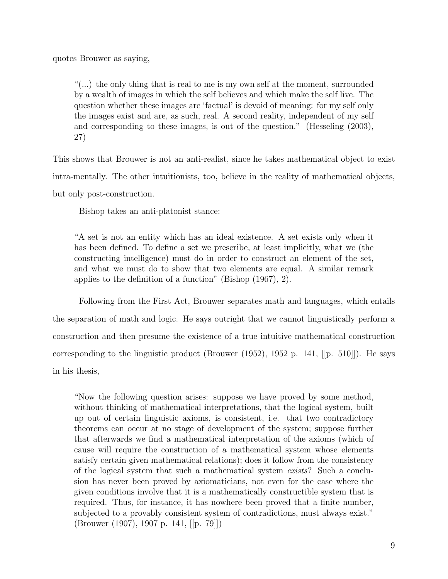quotes Brouwer as saying,

"(...) the only thing that is real to me is my own self at the moment, surrounded by a wealth of images in which the self believes and which make the self live. The question whether these images are 'factual' is devoid of meaning: for my self only the images exist and are, as such, real. A second reality, independent of my self and corresponding to these images, is out of the question." (Hesseling (2003), 27)

This shows that Brouwer is not an anti-realist, since he takes mathematical object to exist intra-mentally. The other intuitionists, too, believe in the reality of mathematical objects, but only post-construction.

Bishop takes an anti-platonist stance:

"A set is not an entity which has an ideal existence. A set exists only when it has been defined. To define a set we prescribe, at least implicitly, what we (the constructing intelligence) must do in order to construct an element of the set, and what we must do to show that two elements are equal. A similar remark applies to the definition of a function" (Bishop (1967), 2).

Following from the First Act, Brouwer separates math and languages, which entails the separation of math and logic. He says outright that we cannot linguistically perform a construction and then presume the existence of a true intuitive mathematical construction corresponding to the linguistic product (Brouwer (1952), 1952 p. 141, [[p. 510]]). He says in his thesis,

"Now the following question arises: suppose we have proved by some method, without thinking of mathematical interpretations, that the logical system, built up out of certain linguistic axioms, is consistent, i.e. that two contradictory theorems can occur at no stage of development of the system; suppose further that afterwards we find a mathematical interpretation of the axioms (which of cause will require the construction of a mathematical system whose elements satisfy certain given mathematical relations); does it follow from the consistency of the logical system that such a mathematical system exists? Such a conclusion has never been proved by axiomaticians, not even for the case where the given conditions involve that it is a mathematically constructible system that is required. Thus, for instance, it has nowhere been proved that a finite number, subjected to a provably consistent system of contradictions, must always exist." (Brouwer (1907), 1907 p. 141, [[p. 79]])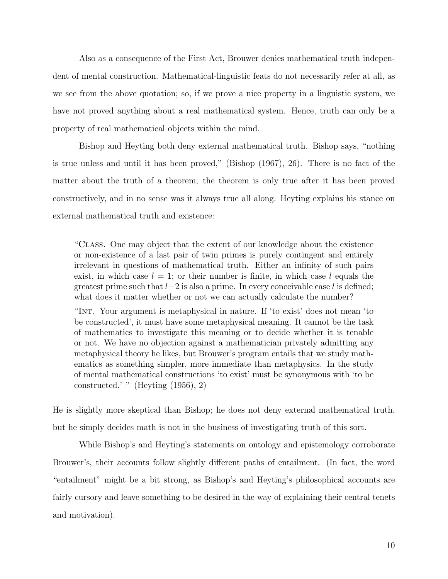Also as a consequence of the First Act, Brouwer denies mathematical truth independent of mental construction. Mathematical-linguistic feats do not necessarily refer at all, as we see from the above quotation; so, if we prove a nice property in a linguistic system, we have not proved anything about a real mathematical system. Hence, truth can only be a property of real mathematical objects within the mind.

Bishop and Heyting both deny external mathematical truth. Bishop says, "nothing is true unless and until it has been proved," (Bishop (1967), 26). There is no fact of the matter about the truth of a theorem; the theorem is only true after it has been proved constructively, and in no sense was it always true all along. Heyting explains his stance on external mathematical truth and existence:

"Class. One may object that the extent of our knowledge about the existence or non-existence of a last pair of twin primes is purely contingent and entirely irrelevant in questions of mathematical truth. Either an infinity of such pairs exist, in which case  $l = 1$ ; or their number is finite, in which case l equals the greatest prime such that  $l-2$  is also a prime. In every conceivable case l is defined; what does it matter whether or not we can actually calculate the number?

"Int. Your argument is metaphysical in nature. If 'to exist' does not mean 'to be constructed', it must have some metaphysical meaning. It cannot be the task of mathematics to investigate this meaning or to decide whether it is tenable or not. We have no objection against a mathematician privately admitting any metaphysical theory he likes, but Brouwer's program entails that we study mathematics as something simpler, more immediate than metaphysics. In the study of mental mathematical constructions 'to exist' must be synonymous with 'to be constructed.' " (Heyting (1956), 2)

He is slightly more skeptical than Bishop; he does not deny external mathematical truth, but he simply decides math is not in the business of investigating truth of this sort.

While Bishop's and Heyting's statements on ontology and epistemology corroborate Brouwer's, their accounts follow slightly different paths of entailment. (In fact, the word "entailment" might be a bit strong, as Bishop's and Heyting's philosophical accounts are fairly cursory and leave something to be desired in the way of explaining their central tenets and motivation).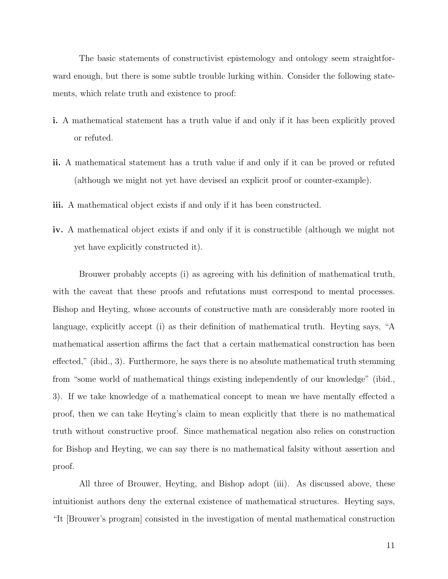The basic statements of constructivist epistemology and ontology seem straightforward enough, but there is some subtle trouble lurking within. Consider the following statements, which relate truth and existence to proof:

- i. A mathematical statement has a truth value if and only if it has been explicitly proved or refuted.
- ii. A mathematical statement has a truth value if and only if it can be proved or refuted (although we might not yet have devised an explicit proof or counter-example).
- iii. A mathematical object exists if and only if it has been constructed.
- iv. A mathematical object exists if and only if it is constructible (although we might not yet have explicitly constructed it).

Brouwer probably accepts (i) as agreeing with his definition of mathematical truth, with the caveat that these proofs and refutations must correspond to mental processes. Bishop and Heyting, whose accounts of constructive math are considerably more rooted in language, explicitly accept (i) as their definition of mathematical truth. Heyting says, "A mathematical assertion affirms the fact that a certain mathematical construction has been effected," (ibid., 3). Furthermore, he says there is no absolute mathematical truth stemming from "some world of mathematical things existing independently of our knowledge" (ibid., 3). If we take knowledge of a mathematical concept to mean we have mentally effected a proof, then we can take Heyting's claim to mean explicitly that there is no mathematical truth without constructive proof. Since mathematical negation also relies on construction for Bishop and Heyting, we can say there is no mathematical falsity without assertion and proof.

All three of Brouwer, Heyting, and Bishop adopt (iii). As discussed above, these intuitionist authors deny the external existence of mathematical structures. Heyting says, "It [Brouwer's program] consisted in the investigation of mental mathematical construction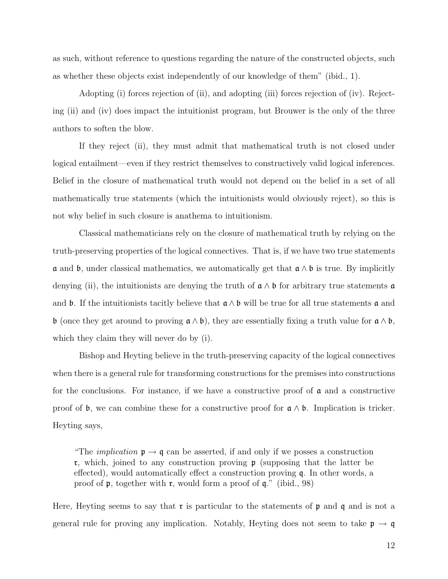as such, without reference to questions regarding the nature of the constructed objects, such as whether these objects exist independently of our knowledge of them" (ibid., 1).

Adopting (i) forces rejection of (ii), and adopting (iii) forces rejection of (iv). Rejecting (ii) and (iv) does impact the intuitionist program, but Brouwer is the only of the three authors to soften the blow.

If they reject (ii), they must admit that mathematical truth is not closed under logical entailment—even if they restrict themselves to constructively valid logical inferences. Belief in the closure of mathematical truth would not depend on the belief in a set of all mathematically true statements (which the intuitionists would obviously reject), so this is not why belief in such closure is anathema to intuitionism.

Classical mathematicians rely on the closure of mathematical truth by relying on the truth-preserving properties of the logical connectives. That is, if we have two true statements  $\alpha$  and  $\beta$ , under classical mathematics, we automatically get that  $\alpha \wedge \beta$  is true. By implicitly denying (ii), the intuitionists are denying the truth of  $a \wedge b$  for arbitrary true statements  $a$ and **b**. If the intuitionists tacitly believe that  $a \wedge b$  will be true for all true statements a and b (once they get around to proving  $a \wedge b$ ), they are essentially fixing a truth value for  $a \wedge b$ , which they claim they will never do by (i).

Bishop and Heyting believe in the truth-preserving capacity of the logical connectives when there is a general rule for transforming constructions for the premises into constructions for the conclusions. For instance, if we have a constructive proof of  $\alpha$  and a constructive proof of b, we can combine these for a constructive proof for  $a \wedge b$ . Implication is tricker. Heyting says,

"The *implication*  $\mathfrak{p} \to \mathfrak{q}$  can be asserted, if and only if we posses a construction **r**, which, joined to any construction proving **p** (supposing that the latter be effected), would automatically effect a construction proving q. In other words, a proof of  $\mathfrak p$ , together with  $\mathfrak r$ , would form a proof of  $\mathfrak q$ ." (ibid., 98)

Here, Heyting seems to say that  $\mathfrak r$  is particular to the statements of  $\mathfrak p$  and  $\mathfrak q$  and is not a general rule for proving any implication. Notably, Heyting does not seem to take  $\mathfrak{p} \to \mathfrak{q}$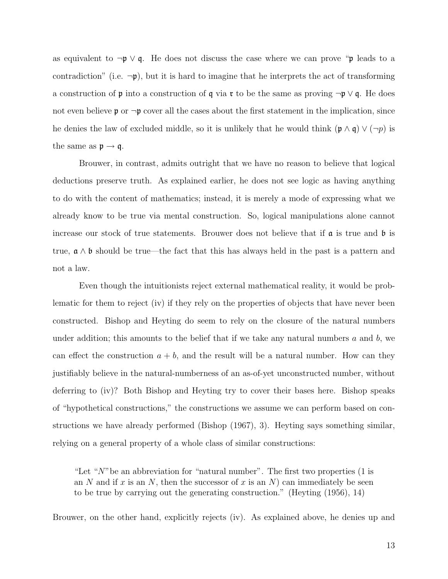as equivalent to  $\neg p \lor q$ . He does not discuss the case where we can prove "p leads to a contradiction" (i.e.  $\neg p$ ), but it is hard to imagine that he interprets the act of transforming a construction of  $\mathfrak p$  into a construction of  $\mathfrak q$  via  $\mathfrak r$  to be the same as proving  $\neg \mathfrak p \vee \mathfrak q$ . He does not even believe **p** or  $\neg$ **p** cover all the cases about the first statement in the implication, since he denies the law of excluded middle, so it is unlikely that he would think  $(\mathfrak{p} \wedge \mathfrak{q}) \vee (\neg p)$  is the same as  $\mathfrak{p} \to \mathfrak{q}$ .

Brouwer, in contrast, admits outright that we have no reason to believe that logical deductions preserve truth. As explained earlier, he does not see logic as having anything to do with the content of mathematics; instead, it is merely a mode of expressing what we already know to be true via mental construction. So, logical manipulations alone cannot increase our stock of true statements. Brouwer does not believe that if  $\alpha$  is true and  $\beta$  is true, a ∧ b should be true—the fact that this has always held in the past is a pattern and not a law.

Even though the intuitionists reject external mathematical reality, it would be problematic for them to reject (iv) if they rely on the properties of objects that have never been constructed. Bishop and Heyting do seem to rely on the closure of the natural numbers under addition; this amounts to the belief that if we take any natural numbers  $a$  and  $b$ , we can effect the construction  $a + b$ , and the result will be a natural number. How can they justifiably believe in the natural-numberness of an as-of-yet unconstructed number, without deferring to (iv)? Both Bishop and Heyting try to cover their bases here. Bishop speaks of "hypothetical constructions," the constructions we assume we can perform based on constructions we have already performed (Bishop (1967), 3). Heyting says something similar, relying on a general property of a whole class of similar constructions:

"Let " $N$ "be an abbreviation for "natural number". The first two properties (1 is an N and if x is an N, then the successor of x is an N) can immediately be seen to be true by carrying out the generating construction." (Heyting (1956), 14)

Brouwer, on the other hand, explicitly rejects (iv). As explained above, he denies up and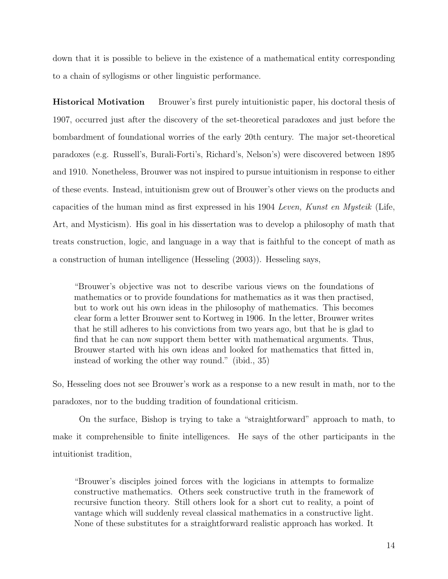down that it is possible to believe in the existence of a mathematical entity corresponding to a chain of syllogisms or other linguistic performance.

Historical Motivation Brouwer's first purely intuitionistic paper, his doctoral thesis of 1907, occurred just after the discovery of the set-theoretical paradoxes and just before the bombardment of foundational worries of the early 20th century. The major set-theoretical paradoxes (e.g. Russell's, Burali-Forti's, Richard's, Nelson's) were discovered between 1895 and 1910. Nonetheless, Brouwer was not inspired to pursue intuitionism in response to either of these events. Instead, intuitionism grew out of Brouwer's other views on the products and capacities of the human mind as first expressed in his 1904 Leven, Kunst en Mysteik (Life, Art, and Mysticism). His goal in his dissertation was to develop a philosophy of math that treats construction, logic, and language in a way that is faithful to the concept of math as a construction of human intelligence (Hesseling (2003)). Hesseling says,

"Brouwer's objective was not to describe various views on the foundations of mathematics or to provide foundations for mathematics as it was then practised, but to work out his own ideas in the philosophy of mathematics. This becomes clear form a letter Brouwer sent to Kortweg in 1906. In the letter, Brouwer writes that he still adheres to his convictions from two years ago, but that he is glad to find that he can now support them better with mathematical arguments. Thus, Brouwer started with his own ideas and looked for mathematics that fitted in, instead of working the other way round." (ibid., 35)

So, Hesseling does not see Brouwer's work as a response to a new result in math, nor to the paradoxes, nor to the budding tradition of foundational criticism.

On the surface, Bishop is trying to take a "straightforward" approach to math, to make it comprehensible to finite intelligences. He says of the other participants in the intuitionist tradition,

"Brouwer's disciples joined forces with the logicians in attempts to formalize constructive mathematics. Others seek constructive truth in the framework of recursive function theory. Still others look for a short cut to reality, a point of vantage which will suddenly reveal classical mathematics in a constructive light. None of these substitutes for a straightforward realistic approach has worked. It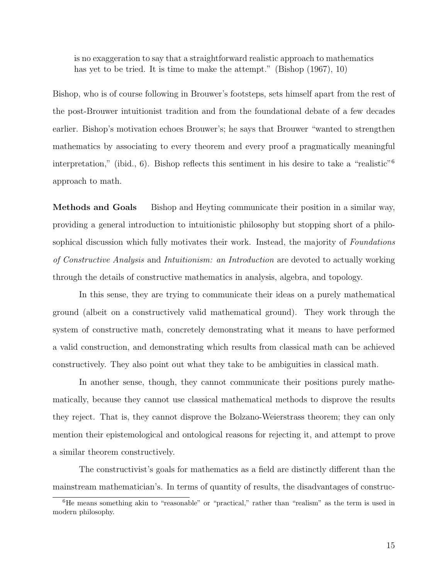is no exaggeration to say that a straightforward realistic approach to mathematics has yet to be tried. It is time to make the attempt." (Bishop (1967), 10)

Bishop, who is of course following in Brouwer's footsteps, sets himself apart from the rest of the post-Brouwer intuitionist tradition and from the foundational debate of a few decades earlier. Bishop's motivation echoes Brouwer's; he says that Brouwer "wanted to strengthen mathematics by associating to every theorem and every proof a pragmatically meaningful interpretation," (ibid., 6). Bishop reflects this sentiment in his desire to take a "realistic"<sup>6</sup> approach to math.

Methods and Goals Bishop and Heyting communicate their position in a similar way, providing a general introduction to intuitionistic philosophy but stopping short of a philosophical discussion which fully motivates their work. Instead, the majority of *Foundations* of Constructive Analysis and Intuitionism: an Introduction are devoted to actually working through the details of constructive mathematics in analysis, algebra, and topology.

In this sense, they are trying to communicate their ideas on a purely mathematical ground (albeit on a constructively valid mathematical ground). They work through the system of constructive math, concretely demonstrating what it means to have performed a valid construction, and demonstrating which results from classical math can be achieved constructively. They also point out what they take to be ambiguities in classical math.

In another sense, though, they cannot communicate their positions purely mathematically, because they cannot use classical mathematical methods to disprove the results they reject. That is, they cannot disprove the Bolzano-Weierstrass theorem; they can only mention their epistemological and ontological reasons for rejecting it, and attempt to prove a similar theorem constructively.

The constructivist's goals for mathematics as a field are distinctly different than the mainstream mathematician's. In terms of quantity of results, the disadvantages of construc-

<sup>&</sup>lt;sup>6</sup>He means something akin to "reasonable" or "practical," rather than "realism" as the term is used in modern philosophy.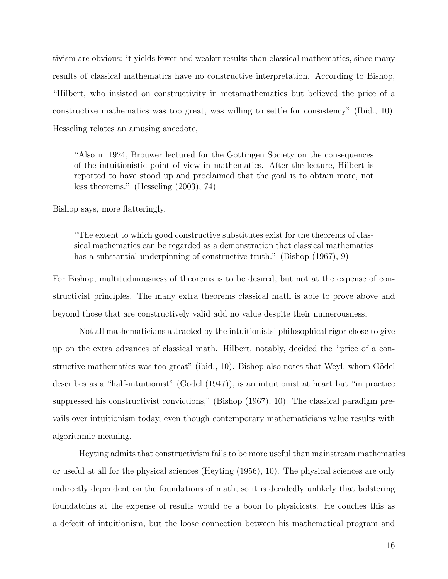tivism are obvious: it yields fewer and weaker results than classical mathematics, since many results of classical mathematics have no constructive interpretation. According to Bishop, "Hilbert, who insisted on constructivity in metamathematics but believed the price of a constructive mathematics was too great, was willing to settle for consistency" (Ibid., 10). Hesseling relates an amusing anecdote,

"Also in 1924, Brouwer lectured for the Göttingen Society on the consequences of the intuitionistic point of view in mathematics. After the lecture, Hilbert is reported to have stood up and proclaimed that the goal is to obtain more, not less theorems." (Hesseling (2003), 74)

Bishop says, more flatteringly,

"The extent to which good constructive substitutes exist for the theorems of classical mathematics can be regarded as a demonstration that classical mathematics has a substantial underpinning of constructive truth." (Bishop (1967), 9)

For Bishop, multitudinousness of theorems is to be desired, but not at the expense of constructivist principles. The many extra theorems classical math is able to prove above and beyond those that are constructively valid add no value despite their numerousness.

Not all mathematicians attracted by the intuitionists' philosophical rigor chose to give up on the extra advances of classical math. Hilbert, notably, decided the "price of a constructive mathematics was too great" (ibid.,  $10$ ). Bishop also notes that Weyl, whom Gödel describes as a "half-intuitionist" (Godel (1947)), is an intuitionist at heart but "in practice suppressed his constructivist convictions," (Bishop (1967), 10). The classical paradigm prevails over intuitionism today, even though contemporary mathematicians value results with algorithmic meaning.

Heyting admits that constructivism fails to be more useful than mainstream mathematics or useful at all for the physical sciences (Heyting (1956), 10). The physical sciences are only indirectly dependent on the foundations of math, so it is decidedly unlikely that bolstering foundatoins at the expense of results would be a boon to physicicsts. He couches this as a defecit of intuitionism, but the loose connection between his mathematical program and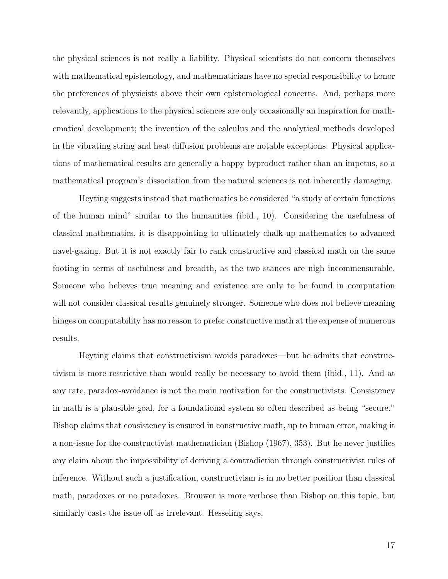the physical sciences is not really a liability. Physical scientists do not concern themselves with mathematical epistemology, and mathematicians have no special responsibility to honor the preferences of physicists above their own epistemological concerns. And, perhaps more relevantly, applications to the physical sciences are only occasionally an inspiration for mathematical development; the invention of the calculus and the analytical methods developed in the vibrating string and heat diffusion problems are notable exceptions. Physical applications of mathematical results are generally a happy byproduct rather than an impetus, so a mathematical program's dissociation from the natural sciences is not inherently damaging.

Heyting suggests instead that mathematics be considered "a study of certain functions of the human mind" similar to the humanities (ibid., 10). Considering the usefulness of classical mathematics, it is disappointing to ultimately chalk up mathematics to advanced navel-gazing. But it is not exactly fair to rank constructive and classical math on the same footing in terms of usefulness and breadth, as the two stances are nigh incommensurable. Someone who believes true meaning and existence are only to be found in computation will not consider classical results genuinely stronger. Someone who does not believe meaning hinges on computability has no reason to prefer constructive math at the expense of numerous results.

Heyting claims that constructivism avoids paradoxes—but he admits that constructivism is more restrictive than would really be necessary to avoid them (ibid., 11). And at any rate, paradox-avoidance is not the main motivation for the constructivists. Consistency in math is a plausible goal, for a foundational system so often described as being "secure." Bishop claims that consistency is ensured in constructive math, up to human error, making it a non-issue for the constructivist mathematician (Bishop (1967), 353). But he never justifies any claim about the impossibility of deriving a contradiction through constructivist rules of inference. Without such a justification, constructivism is in no better position than classical math, paradoxes or no paradoxes. Brouwer is more verbose than Bishop on this topic, but similarly casts the issue off as irrelevant. Hesseling says,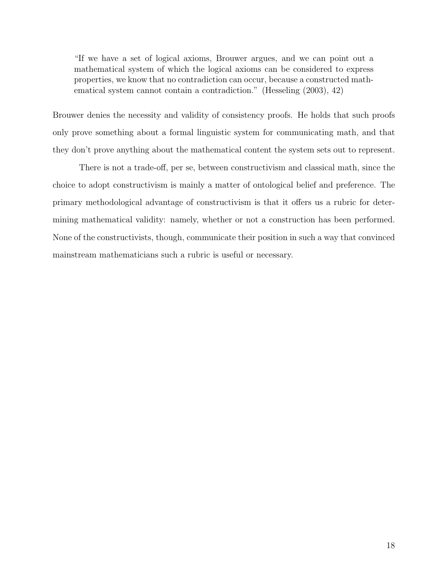"If we have a set of logical axioms, Brouwer argues, and we can point out a mathematical system of which the logical axioms can be considered to express properties, we know that no contradiction can occur, because a constructed mathematical system cannot contain a contradiction." (Hesseling (2003), 42)

Brouwer denies the necessity and validity of consistency proofs. He holds that such proofs only prove something about a formal linguistic system for communicating math, and that they don't prove anything about the mathematical content the system sets out to represent.

There is not a trade-off, per se, between constructivism and classical math, since the choice to adopt constructivism is mainly a matter of ontological belief and preference. The primary methodological advantage of constructivism is that it offers us a rubric for determining mathematical validity: namely, whether or not a construction has been performed. None of the constructivists, though, communicate their position in such a way that convinced mainstream mathematicians such a rubric is useful or necessary.